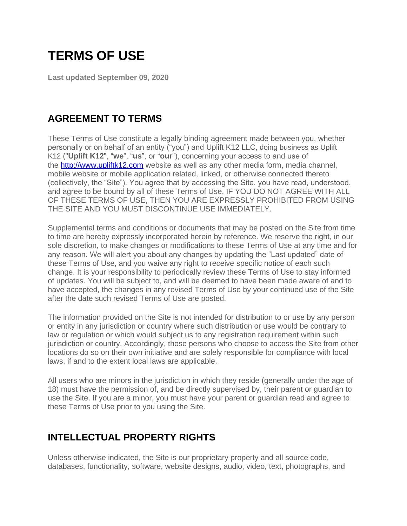# **TERMS OF USE**

**Last updated September 09, 2020**

# **AGREEMENT TO TERMS**

These Terms of Use constitute a legally binding agreement made between you, whether personally or on behalf of an entity ("you") and Uplift K12 LLC, doing business as Uplift K12 ("**Uplift K12**", "**we**", "**us**", or "**our**"), concerning your access to and use of the [http://www.upliftk12.com](http://www.upliftk12.com/) website as well as any other media form, media channel, mobile website or mobile application related, linked, or otherwise connected thereto (collectively, the "Site"). You agree that by accessing the Site, you have read, understood, and agree to be bound by all of these Terms of Use. IF YOU DO NOT AGREE WITH ALL OF THESE TERMS OF USE, THEN YOU ARE EXPRESSLY PROHIBITED FROM USING THE SITE AND YOU MUST DISCONTINUE USE IMMEDIATELY.

Supplemental terms and conditions or documents that may be posted on the Site from time to time are hereby expressly incorporated herein by reference. We reserve the right, in our sole discretion, to make changes or modifications to these Terms of Use at any time and for any reason. We will alert you about any changes by updating the "Last updated" date of these Terms of Use, and you waive any right to receive specific notice of each such change. It is your responsibility to periodically review these Terms of Use to stay informed of updates. You will be subject to, and will be deemed to have been made aware of and to have accepted, the changes in any revised Terms of Use by your continued use of the Site after the date such revised Terms of Use are posted.

The information provided on the Site is not intended for distribution to or use by any person or entity in any jurisdiction or country where such distribution or use would be contrary to law or regulation or which would subject us to any registration requirement within such jurisdiction or country. Accordingly, those persons who choose to access the Site from other locations do so on their own initiative and are solely responsible for compliance with local laws, if and to the extent local laws are applicable.

All users who are minors in the jurisdiction in which they reside (generally under the age of 18) must have the permission of, and be directly supervised by, their parent or guardian to use the Site. If you are a minor, you must have your parent or guardian read and agree to these Terms of Use prior to you using the Site.

# **INTELLECTUAL PROPERTY RIGHTS**

Unless otherwise indicated, the Site is our proprietary property and all source code, databases, functionality, software, website designs, audio, video, text, photographs, and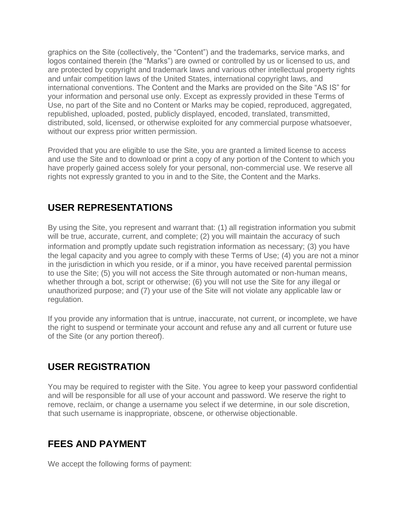graphics on the Site (collectively, the "Content") and the trademarks, service marks, and logos contained therein (the "Marks") are owned or controlled by us or licensed to us, and are protected by copyright and trademark laws and various other intellectual property rights and unfair competition laws of the United States, international copyright laws, and international conventions. The Content and the Marks are provided on the Site "AS IS" for your information and personal use only. Except as expressly provided in these Terms of Use, no part of the Site and no Content or Marks may be copied, reproduced, aggregated, republished, uploaded, posted, publicly displayed, encoded, translated, transmitted, distributed, sold, licensed, or otherwise exploited for any commercial purpose whatsoever, without our express prior written permission.

Provided that you are eligible to use the Site, you are granted a limited license to access and use the Site and to download or print a copy of any portion of the Content to which you have properly gained access solely for your personal, non-commercial use. We reserve all rights not expressly granted to you in and to the Site, the Content and the Marks.

# **USER REPRESENTATIONS**

By using the Site, you represent and warrant that: (1) all registration information you submit will be true, accurate, current, and complete; (2) you will maintain the accuracy of such information and promptly update such registration information as necessary; (3) you have the legal capacity and you agree to comply with these Terms of Use; (4) you are not a minor in the jurisdiction in which you reside, or if a minor, you have received parental permission to use the Site; (5) you will not access the Site through automated or non-human means, whether through a bot, script or otherwise; (6) you will not use the Site for any illegal or unauthorized purpose; and (7) your use of the Site will not violate any applicable law or regulation.

If you provide any information that is untrue, inaccurate, not current, or incomplete, we have the right to suspend or terminate your account and refuse any and all current or future use of the Site (or any portion thereof).

# **USER REGISTRATION**

You may be required to register with the Site. You agree to keep your password confidential and will be responsible for all use of your account and password. We reserve the right to remove, reclaim, or change a username you select if we determine, in our sole discretion, that such username is inappropriate, obscene, or otherwise objectionable.

#### **FEES AND PAYMENT**

We accept the following forms of payment: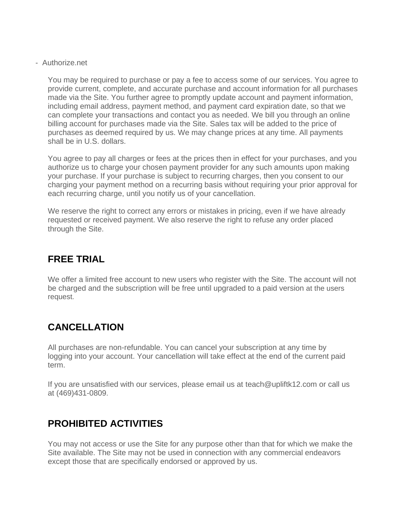- Authorize.net

You may be required to purchase or pay a fee to access some of our services. You agree to provide current, complete, and accurate purchase and account information for all purchases made via the Site. You further agree to promptly update account and payment information, including email address, payment method, and payment card expiration date, so that we can complete your transactions and contact you as needed. We bill you through an online billing account for purchases made via the Site. Sales tax will be added to the price of purchases as deemed required by us. We may change prices at any time. All payments shall be in U.S. dollars.

You agree to pay all charges or fees at the prices then in effect for your purchases, and you authorize us to charge your chosen payment provider for any such amounts upon making your purchase. If your purchase is subject to recurring charges, then you consent to our charging your payment method on a recurring basis without requiring your prior approval for each recurring charge, until you notify us of your cancellation.

We reserve the right to correct any errors or mistakes in pricing, even if we have already requested or received payment. We also reserve the right to refuse any order placed through the Site.

## **FREE TRIAL**

We offer a limited free account to new users who register with the Site. The account will not be charged and the subscription will be free until upgraded to a paid version at the users request.

# **CANCELLATION**

All purchases are non-refundable. You can cancel your subscription at any time by logging into your account. Your cancellation will take effect at the end of the current paid term.

If you are unsatisfied with our services, please email us at teach@upliftk12.com or call us at (469)431-0809.

### **PROHIBITED ACTIVITIES**

You may not access or use the Site for any purpose other than that for which we make the Site available. The Site may not be used in connection with any commercial endeavors except those that are specifically endorsed or approved by us.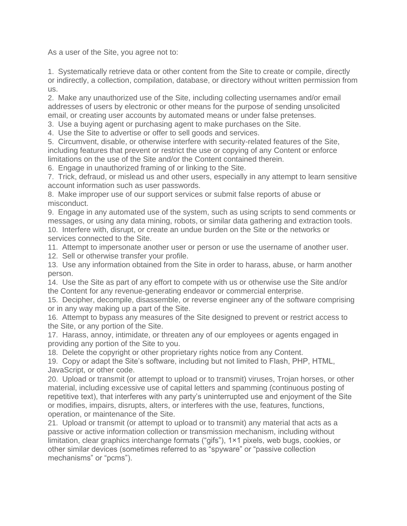As a user of the Site, you agree not to:

1. Systematically retrieve data or other content from the Site to create or compile, directly or indirectly, a collection, compilation, database, or directory without written permission from us.

2. Make any unauthorized use of the Site, including collecting usernames and/or email addresses of users by electronic or other means for the purpose of sending unsolicited email, or creating user accounts by automated means or under false pretenses.

3. Use a buying agent or purchasing agent to make purchases on the Site.

4. Use the Site to advertise or offer to sell goods and services.

5. Circumvent, disable, or otherwise interfere with security-related features of the Site, including features that prevent or restrict the use or copying of any Content or enforce limitations on the use of the Site and/or the Content contained therein.

6. Engage in unauthorized framing of or linking to the Site.

7. Trick, defraud, or mislead us and other users, especially in any attempt to learn sensitive account information such as user passwords.

8. Make improper use of our support services or submit false reports of abuse or misconduct.

9. Engage in any automated use of the system, such as using scripts to send comments or messages, or using any data mining, robots, or similar data gathering and extraction tools. 10. Interfere with, disrupt, or create an undue burden on the Site or the networks or services connected to the Site.

11. Attempt to impersonate another user or person or use the username of another user.

12. Sell or otherwise transfer your profile.

13. Use any information obtained from the Site in order to harass, abuse, or harm another person.

14. Use the Site as part of any effort to compete with us or otherwise use the Site and/or the Content for any revenue-generating endeavor or commercial enterprise.

15. Decipher, decompile, disassemble, or reverse engineer any of the software comprising or in any way making up a part of the Site.

16. Attempt to bypass any measures of the Site designed to prevent or restrict access to the Site, or any portion of the Site.

17. Harass, annoy, intimidate, or threaten any of our employees or agents engaged in providing any portion of the Site to you.

18. Delete the copyright or other proprietary rights notice from any Content.

19. Copy or adapt the Site's software, including but not limited to Flash, PHP, HTML, JavaScript, or other code.

20. Upload or transmit (or attempt to upload or to transmit) viruses, Trojan horses, or other material, including excessive use of capital letters and spamming (continuous posting of repetitive text), that interferes with any party's uninterrupted use and enjoyment of the Site or modifies, impairs, disrupts, alters, or interferes with the use, features, functions, operation, or maintenance of the Site.

21. Upload or transmit (or attempt to upload or to transmit) any material that acts as a passive or active information collection or transmission mechanism, including without limitation, clear graphics interchange formats ("gifs"), 1×1 pixels, web bugs, cookies, or other similar devices (sometimes referred to as "spyware" or "passive collection mechanisms" or "pcms").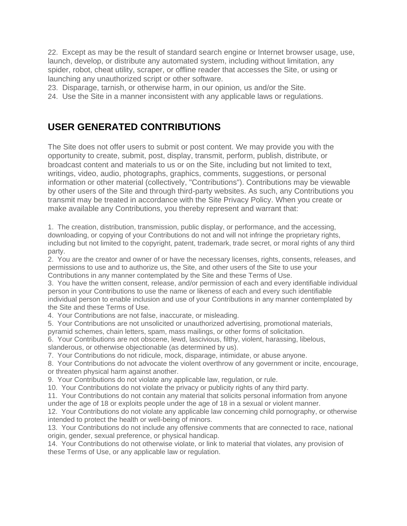22. Except as may be the result of standard search engine or Internet browser usage, use, launch, develop, or distribute any automated system, including without limitation, any spider, robot, cheat utility, scraper, or offline reader that accesses the Site, or using or launching any unauthorized script or other software.

23. Disparage, tarnish, or otherwise harm, in our opinion, us and/or the Site.

24. Use the Site in a manner inconsistent with any applicable laws or regulations.

#### **USER GENERATED CONTRIBUTIONS**

The Site does not offer users to submit or post content. We may provide you with the opportunity to create, submit, post, display, transmit, perform, publish, distribute, or broadcast content and materials to us or on the Site, including but not limited to text, writings, video, audio, photographs, graphics, comments, suggestions, or personal information or other material (collectively, "Contributions"). Contributions may be viewable by other users of the Site and through third-party websites. As such, any Contributions you transmit may be treated in accordance with the Site Privacy Policy. When you create or make available any Contributions, you thereby represent and warrant that:

1. The creation, distribution, transmission, public display, or performance, and the accessing, downloading, or copying of your Contributions do not and will not infringe the proprietary rights, including but not limited to the copyright, patent, trademark, trade secret, or moral rights of any third party.

2. You are the creator and owner of or have the necessary licenses, rights, consents, releases, and permissions to use and to authorize us, the Site, and other users of the Site to use your Contributions in any manner contemplated by the Site and these Terms of Use.

3. You have the written consent, release, and/or permission of each and every identifiable individual person in your Contributions to use the name or likeness of each and every such identifiable individual person to enable inclusion and use of your Contributions in any manner contemplated by the Site and these Terms of Use.

4. Your Contributions are not false, inaccurate, or misleading.

5. Your Contributions are not unsolicited or unauthorized advertising, promotional materials,

pyramid schemes, chain letters, spam, mass mailings, or other forms of solicitation.

6. Your Contributions are not obscene, lewd, lascivious, filthy, violent, harassing, libelous,

slanderous, or otherwise objectionable (as determined by us).

7. Your Contributions do not ridicule, mock, disparage, intimidate, or abuse anyone.

8. Your Contributions do not advocate the violent overthrow of any government or incite, encourage, or threaten physical harm against another.

9. Your Contributions do not violate any applicable law, regulation, or rule.

10. Your Contributions do not violate the privacy or publicity rights of any third party.

11. Your Contributions do not contain any material that solicits personal information from anyone

under the age of 18 or exploits people under the age of 18 in a sexual or violent manner.

12. Your Contributions do not violate any applicable law concerning child pornography, or otherwise intended to protect the health or well-being of minors.

13. Your Contributions do not include any offensive comments that are connected to race, national origin, gender, sexual preference, or physical handicap.

14. Your Contributions do not otherwise violate, or link to material that violates, any provision of these Terms of Use, or any applicable law or regulation.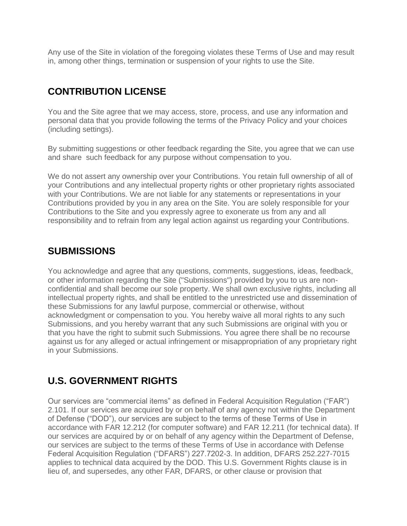Any use of the Site in violation of the foregoing violates these Terms of Use and may result in, among other things, termination or suspension of your rights to use the Site.

# **CONTRIBUTION LICENSE**

You and the Site agree that we may access, store, process, and use any information and personal data that you provide following the terms of the Privacy Policy and your choices (including settings).

By submitting suggestions or other feedback regarding the Site, you agree that we can use and share such feedback for any purpose without compensation to you.

We do not assert any ownership over your Contributions. You retain full ownership of all of your Contributions and any intellectual property rights or other proprietary rights associated with your Contributions. We are not liable for any statements or representations in your Contributions provided by you in any area on the Site. You are solely responsible for your Contributions to the Site and you expressly agree to exonerate us from any and all responsibility and to refrain from any legal action against us regarding your Contributions.

#### **SUBMISSIONS**

You acknowledge and agree that any questions, comments, suggestions, ideas, feedback, or other information regarding the Site ("Submissions") provided by you to us are nonconfidential and shall become our sole property. We shall own exclusive rights, including all intellectual property rights, and shall be entitled to the unrestricted use and dissemination of these Submissions for any lawful purpose, commercial or otherwise, without acknowledgment or compensation to you. You hereby waive all moral rights to any such Submissions, and you hereby warrant that any such Submissions are original with you or that you have the right to submit such Submissions. You agree there shall be no recourse against us for any alleged or actual infringement or misappropriation of any proprietary right in your Submissions.

# **U.S. GOVERNMENT RIGHTS**

Our services are "commercial items" as defined in Federal Acquisition Regulation ("FAR") 2.101. If our services are acquired by or on behalf of any agency not within the Department of Defense ("DOD"), our services are subject to the terms of these Terms of Use in accordance with FAR 12.212 (for computer software) and FAR 12.211 (for technical data). If our services are acquired by or on behalf of any agency within the Department of Defense, our services are subject to the terms of these Terms of Use in accordance with Defense Federal Acquisition Regulation ("DFARS") 227.7202-3. In addition, DFARS 252.227-7015 applies to technical data acquired by the DOD. This U.S. Government Rights clause is in lieu of, and supersedes, any other FAR, DFARS, or other clause or provision that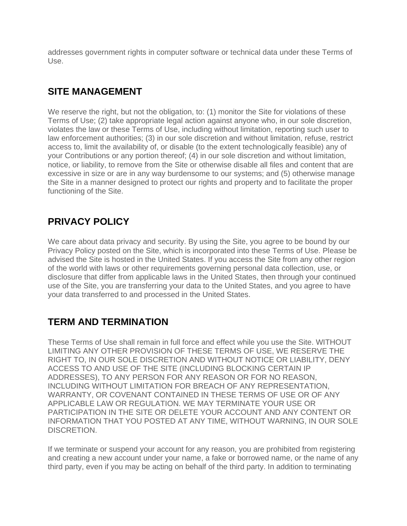addresses government rights in computer software or technical data under these Terms of Use.

# **SITE MANAGEMENT**

We reserve the right, but not the obligation, to: (1) monitor the Site for violations of these Terms of Use; (2) take appropriate legal action against anyone who, in our sole discretion, violates the law or these Terms of Use, including without limitation, reporting such user to law enforcement authorities; (3) in our sole discretion and without limitation, refuse, restrict access to, limit the availability of, or disable (to the extent technologically feasible) any of your Contributions or any portion thereof; (4) in our sole discretion and without limitation, notice, or liability, to remove from the Site or otherwise disable all files and content that are excessive in size or are in any way burdensome to our systems; and (5) otherwise manage the Site in a manner designed to protect our rights and property and to facilitate the proper functioning of the Site.

# **PRIVACY POLICY**

We care about data privacy and security. By using the Site, you agree to be bound by our Privacy Policy posted on the Site, which is incorporated into these Terms of Use. Please be advised the Site is hosted in the United States. If you access the Site from any other region of the world with laws or other requirements governing personal data collection, use, or disclosure that differ from applicable laws in the United States, then through your continued use of the Site, you are transferring your data to the United States, and you agree to have your data transferred to and processed in the United States.

### **TERM AND TERMINATION**

These Terms of Use shall remain in full force and effect while you use the Site. WITHOUT LIMITING ANY OTHER PROVISION OF THESE TERMS OF USE, WE RESERVE THE RIGHT TO, IN OUR SOLE DISCRETION AND WITHOUT NOTICE OR LIABILITY, DENY ACCESS TO AND USE OF THE SITE (INCLUDING BLOCKING CERTAIN IP ADDRESSES), TO ANY PERSON FOR ANY REASON OR FOR NO REASON, INCLUDING WITHOUT LIMITATION FOR BREACH OF ANY REPRESENTATION, WARRANTY, OR COVENANT CONTAINED IN THESE TERMS OF USE OR OF ANY APPLICABLE LAW OR REGULATION. WE MAY TERMINATE YOUR USE OR PARTICIPATION IN THE SITE OR DELETE YOUR ACCOUNT AND ANY CONTENT OR INFORMATION THAT YOU POSTED AT ANY TIME, WITHOUT WARNING, IN OUR SOLE DISCRETION.

If we terminate or suspend your account for any reason, you are prohibited from registering and creating a new account under your name, a fake or borrowed name, or the name of any third party, even if you may be acting on behalf of the third party. In addition to terminating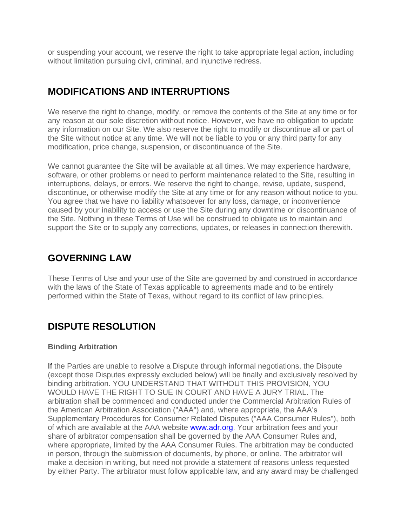or suspending your account, we reserve the right to take appropriate legal action, including without limitation pursuing civil, criminal, and injunctive redress.

# **MODIFICATIONS AND INTERRUPTIONS**

We reserve the right to change, modify, or remove the contents of the Site at any time or for any reason at our sole discretion without notice. However, we have no obligation to update any information on our Site. We also reserve the right to modify or discontinue all or part of the Site without notice at any time. We will not be liable to you or any third party for any modification, price change, suspension, or discontinuance of the Site.

We cannot guarantee the Site will be available at all times. We may experience hardware, software, or other problems or need to perform maintenance related to the Site, resulting in interruptions, delays, or errors. We reserve the right to change, revise, update, suspend, discontinue, or otherwise modify the Site at any time or for any reason without notice to you. You agree that we have no liability whatsoever for any loss, damage, or inconvenience caused by your inability to access or use the Site during any downtime or discontinuance of the Site. Nothing in these Terms of Use will be construed to obligate us to maintain and support the Site or to supply any corrections, updates, or releases in connection therewith.

#### **GOVERNING LAW**

These Terms of Use and your use of the Site are governed by and construed in accordance with the laws of the State of Texas applicable to agreements made and to be entirely performed within the State of Texas, without regard to its conflict of law principles.

# **DISPUTE RESOLUTION**

#### **Binding Arbitration**

If the Parties are unable to resolve a Dispute through informal negotiations, the Dispute (except those Disputes expressly excluded below) will be finally and exclusively resolved by binding arbitration. YOU UNDERSTAND THAT WITHOUT THIS PROVISION, YOU WOULD HAVE THE RIGHT TO SUE IN COURT AND HAVE A JURY TRIAL. The arbitration shall be commenced and conducted under the Commercial Arbitration Rules of the American Arbitration Association ("AAA") and, where appropriate, the AAA's Supplementary Procedures for Consumer Related Disputes ("AAA Consumer Rules"), both of which are available at the AAA website **www.adr.org**. Your arbitration fees and your share of arbitrator compensation shall be governed by the AAA Consumer Rules and, where appropriate, limited by the AAA Consumer Rules. The arbitration may be conducted in person, through the submission of documents, by phone, or online. The arbitrator will make a decision in writing, but need not provide a statement of reasons unless requested by either Party. The arbitrator must follow applicable law, and any award may be challenged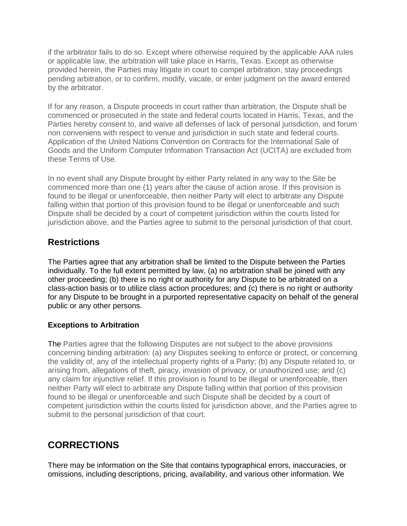if the arbitrator fails to do so. Except where otherwise required by the applicable AAA rules or applicable law, the arbitration will take place in Harris, Texas. Except as otherwise provided herein, the Parties may litigate in court to compel arbitration, stay proceedings pending arbitration, or to confirm, modify, vacate, or enter judgment on the award entered by the arbitrator.

If for any reason, a Dispute proceeds in court rather than arbitration, the Dispute shall be commenced or prosecuted in the state and federal courts located in Harris, Texas, and the Parties hereby consent to, and waive all defenses of lack of personal jurisdiction, and forum non conveniens with respect to venue and jurisdiction in such state and federal courts. Application of the United Nations Convention on Contracts for the International Sale of Goods and the Uniform Computer Information Transaction Act (UCITA) are excluded from these Terms of Use.

In no event shall any Dispute brought by either Party related in any way to the Site be commenced more than one (1) years after the cause of action arose. If this provision is found to be illegal or unenforceable, then neither Party will elect to arbitrate any Dispute falling within that portion of this provision found to be illegal or unenforceable and such Dispute shall be decided by a court of competent jurisdiction within the courts listed for jurisdiction above, and the Parties agree to submit to the personal jurisdiction of that court.

#### **Restrictions**

The Parties agree that any arbitration shall be limited to the Dispute between the Parties individually. To the full extent permitted by law, (a) no arbitration shall be joined with any other proceeding; (b) there is no right or authority for any Dispute to be arbitrated on a class-action basis or to utilize class action procedures; and (c) there is no right or authority for any Dispute to be brought in a purported representative capacity on behalf of the general public or any other persons.

#### **Exceptions to Arbitration**

The Parties agree that the following Disputes are not subject to the above provisions concerning binding arbitration: (a) any Disputes seeking to enforce or protect, or concerning the validity of, any of the intellectual property rights of a Party; (b) any Dispute related to, or arising from, allegations of theft, piracy, invasion of privacy, or unauthorized use; and (c) any claim for injunctive relief. If this provision is found to be illegal or unenforceable, then neither Party will elect to arbitrate any Dispute falling within that portion of this provision found to be illegal or unenforceable and such Dispute shall be decided by a court of competent jurisdiction within the courts listed for jurisdiction above, and the Parties agree to submit to the personal jurisdiction of that court.

### **CORRECTIONS**

There may be information on the Site that contains typographical errors, inaccuracies, or omissions, including descriptions, pricing, availability, and various other information. We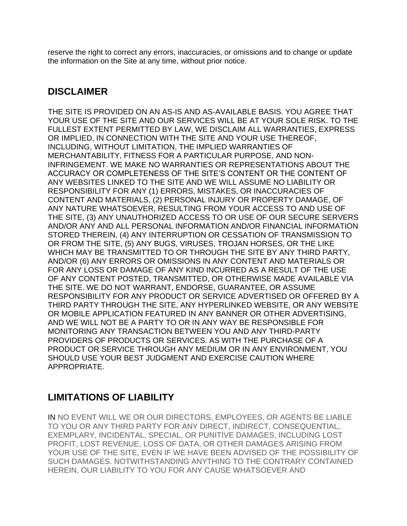reserve the right to correct any errors, inaccuracies, or omissions and to change or update the information on the Site at any time, without prior notice.

#### **DISCLAIMER**

THE SITE IS PROVIDED ON AN AS-IS AND AS-AVAILABLE BASIS. YOU AGREE THAT YOUR USE OF THE SITE AND OUR SERVICES WILL BE AT YOUR SOLE RISK. TO THE FULLEST EXTENT PERMITTED BY LAW, WE DISCLAIM ALL WARRANTIES, EXPRESS OR IMPLIED, IN CONNECTION WITH THE SITE AND YOUR USE THEREOF, INCLUDING, WITHOUT LIMITATION, THE IMPLIED WARRANTIES OF MERCHANTABILITY, FITNESS FOR A PARTICULAR PURPOSE, AND NON-INFRINGEMENT. WE MAKE NO WARRANTIES OR REPRESENTATIONS ABOUT THE ACCURACY OR COMPLETENESS OF THE SITE'S CONTENT OR THE CONTENT OF ANY WEBSITES LINKED TO THE SITE AND WE WILL ASSUME NO LIABILITY OR RESPONSIBILITY FOR ANY (1) ERRORS, MISTAKES, OR INACCURACIES OF CONTENT AND MATERIALS, (2) PERSONAL INJURY OR PROPERTY DAMAGE, OF ANY NATURE WHATSOEVER, RESULTING FROM YOUR ACCESS TO AND USE OF THE SITE, (3) ANY UNAUTHORIZED ACCESS TO OR USE OF OUR SECURE SERVERS AND/OR ANY AND ALL PERSONAL INFORMATION AND/OR FINANCIAL INFORMATION STORED THEREIN, (4) ANY INTERRUPTION OR CESSATION OF TRANSMISSION TO OR FROM THE SITE, (5) ANY BUGS, VIRUSES, TROJAN HORSES, OR THE LIKE WHICH MAY BE TRANSMITTED TO OR THROUGH THE SITE BY ANY THIRD PARTY, AND/OR (6) ANY ERRORS OR OMISSIONS IN ANY CONTENT AND MATERIALS OR FOR ANY LOSS OR DAMAGE OF ANY KIND INCURRED AS A RESULT OF THE USE OF ANY CONTENT POSTED, TRANSMITTED, OR OTHERWISE MADE AVAILABLE VIA THE SITE. WE DO NOT WARRANT, ENDORSE, GUARANTEE, OR ASSUME RESPONSIBILITY FOR ANY PRODUCT OR SERVICE ADVERTISED OR OFFERED BY A THIRD PARTY THROUGH THE SITE, ANY HYPERLINKED WEBSITE, OR ANY WEBSITE OR MOBILE APPLICATION FEATURED IN ANY BANNER OR OTHER ADVERTISING, AND WE WILL NOT BE A PARTY TO OR IN ANY WAY BE RESPONSIBLE FOR MONITORING ANY TRANSACTION BETWEEN YOU AND ANY THIRD-PARTY PROVIDERS OF PRODUCTS OR SERVICES. AS WITH THE PURCHASE OF A PRODUCT OR SERVICE THROUGH ANY MEDIUM OR IN ANY ENVIRONMENT, YOU SHOULD USE YOUR BEST JUDGMENT AND EXERCISE CAUTION WHERE APPROPRIATE.

### **LIMITATIONS OF LIABILITY**

IN NO EVENT WILL WE OR OUR DIRECTORS, EMPLOYEES, OR AGENTS BE LIABLE TO YOU OR ANY THIRD PARTY FOR ANY DIRECT, INDIRECT, CONSEQUENTIAL, EXEMPLARY, INCIDENTAL, SPECIAL, OR PUNITIVE DAMAGES, INCLUDING LOST PROFIT, LOST REVENUE, LOSS OF DATA, OR OTHER DAMAGES ARISING FROM YOUR USE OF THE SITE, EVEN IF WE HAVE BEEN ADVISED OF THE POSSIBILITY OF SUCH DAMAGES. NOTWITHSTANDING ANYTHING TO THE CONTRARY CONTAINED HEREIN, OUR LIABILITY TO YOU FOR ANY CAUSE WHATSOEVER AND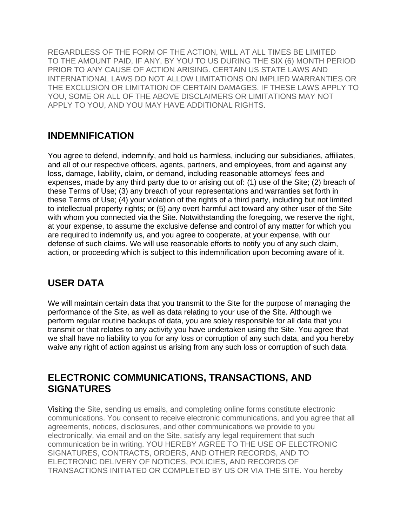REGARDLESS OF THE FORM OF THE ACTION, WILL AT ALL TIMES BE LIMITED TO THE AMOUNT PAID, IF ANY, BY YOU TO US DURING THE SIX (6) MONTH PERIOD PRIOR TO ANY CAUSE OF ACTION ARISING. CERTAIN US STATE LAWS AND INTERNATIONAL LAWS DO NOT ALLOW LIMITATIONS ON IMPLIED WARRANTIES OR THE EXCLUSION OR LIMITATION OF CERTAIN DAMAGES. IF THESE LAWS APPLY TO YOU, SOME OR ALL OF THE ABOVE DISCLAIMERS OR LIMITATIONS MAY NOT APPLY TO YOU, AND YOU MAY HAVE ADDITIONAL RIGHTS.

#### **INDEMNIFICATION**

You agree to defend, indemnify, and hold us harmless, including our subsidiaries, affiliates, and all of our respective officers, agents, partners, and employees, from and against any loss, damage, liability, claim, or demand, including reasonable attorneys' fees and expenses, made by any third party due to or arising out of: (1) use of the Site; (2) breach of these Terms of Use; (3) any breach of your representations and warranties set forth in these Terms of Use; (4) your violation of the rights of a third party, including but not limited to intellectual property rights; or (5) any overt harmful act toward any other user of the Site with whom you connected via the Site. Notwithstanding the foregoing, we reserve the right, at your expense, to assume the exclusive defense and control of any matter for which you are required to indemnify us, and you agree to cooperate, at your expense, with our defense of such claims. We will use reasonable efforts to notify you of any such claim, action, or proceeding which is subject to this indemnification upon becoming aware of it.

### **USER DATA**

We will maintain certain data that you transmit to the Site for the purpose of managing the performance of the Site, as well as data relating to your use of the Site. Although we perform regular routine backups of data, you are solely responsible for all data that you transmit or that relates to any activity you have undertaken using the Site. You agree that we shall have no liability to you for any loss or corruption of any such data, and you hereby waive any right of action against us arising from any such loss or corruption of such data.

#### **ELECTRONIC COMMUNICATIONS, TRANSACTIONS, AND SIGNATURES**

Visiting the Site, sending us emails, and completing online forms constitute electronic communications. You consent to receive electronic communications, and you agree that all agreements, notices, disclosures, and other communications we provide to you electronically, via email and on the Site, satisfy any legal requirement that such communication be in writing. YOU HEREBY AGREE TO THE USE OF ELECTRONIC SIGNATURES, CONTRACTS, ORDERS, AND OTHER RECORDS, AND TO ELECTRONIC DELIVERY OF NOTICES, POLICIES, AND RECORDS OF TRANSACTIONS INITIATED OR COMPLETED BY US OR VIA THE SITE. You hereby